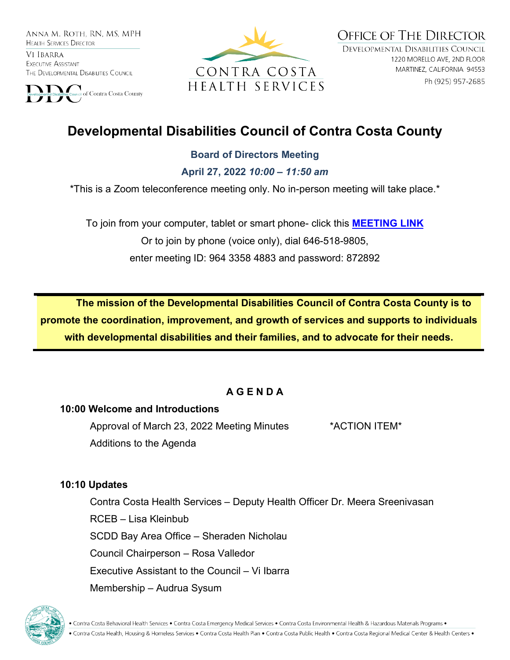ANNA M. ROTH. RN. MS. MPH **HEALTH SERVICES DIRECTOR** 

VI IBARRA EXECUTIVE ASSISTANT THE DEVELOPMENTAL DISABILITIES COUNCIL





**OFFICE OF THE DIRECTOR** DEVELOPMENTAL DISABILITIES COUNCIL 1220 MORELLO AVE, 2ND FLOOR MARTINEZ, CALIFORNIA 94553 Ph (925) 957-2685

# **Developmental Disabilities Council of Contra Costa County**

#### **Board of Directors Meeting**

**April 27, 2022** *10:00 – 11:50 am*

\*This is a Zoom teleconference meeting only. No in-person meeting will take place.\*

To join from your computer, tablet or smart phone- click this **[MEETING LINK](https://cchealth.zoom.us/j/96433584883?pwd=bEtCdk9wM0NyZHFVaVl0N3U3Rm1mQT09)** Or to join by phone (voice only), dial 646-518-9805, enter meeting ID: 964 3358 4883 and password: 872892

**The mission of the Developmental Disabilities Council of Contra Costa County is to promote the coordination, improvement, and growth of services and supports to individuals with developmental disabilities and their families, and to advocate for their needs.** 

# **A G E N D A**

#### **10:00 Welcome and Introductions**

Approval of March 23, 2022 Meeting Minutes \*ACTION ITEM\* Additions to the Agenda

#### **10:10 Updates**

Contra Costa Health Services – Deputy Health Officer Dr. Meera Sreenivasan RCEB – Lisa Kleinbub SCDD Bay Area Office – Sheraden Nicholau Council Chairperson – Rosa Valledor Executive Assistant to the Council – Vi Ibarra Membership – Audrua Sysum